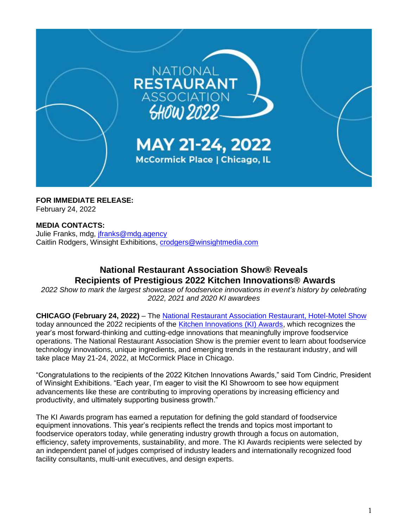

**FOR IMMEDIATE RELEASE:** February 24, 2022

# **MEDIA CONTACTS:**

Julie Franks, mdg, [jfranks@mdg.agency](mailto:jfranks@mdg.agency) Caitlin Rodgers, Winsight Exhibitions, [crodgers@winsightmedia.com](mailto:crodgers@winsightmedia.com)

# **National Restaurant Association Show® Reveals Recipients of Prestigious 2022 Kitchen Innovations® Awards**

*2022 Show to mark the largest showcase of foodservice innovations in event's history by celebrating 2022, 2021 and 2020 KI awardees*

**CHICAGO (February 24, 2022)** – The [National Restaurant Association Restaurant, Hotel-Motel Show](https://www.nationalrestaurantshow.com/) today announced the 2022 recipients of the [Kitchen Innovations \(KI\) Awards,](https://www.nationalrestaurantshow.com/why-attend/special-exhibits-pavilions/kitchen-innovations-showroom-2022) which recognizes the year's most forward-thinking and cutting-edge innovations that meaningfully improve foodservice operations. The National Restaurant Association Show is the premier event to learn about foodservice technology innovations, unique ingredients, and emerging trends in the restaurant industry, and will take place May 21-24, 2022, at McCormick Place in Chicago.

"Congratulations to the recipients of the 2022 Kitchen Innovations Awards," said Tom Cindric, President of Winsight Exhibitions. "Each year, I'm eager to visit the KI Showroom to see how equipment advancements like these are contributing to improving operations by increasing efficiency and productivity, and ultimately supporting business growth."

The KI Awards program has earned a reputation for defining the gold standard of foodservice equipment innovations. This year's recipients reflect the trends and topics most important to foodservice operators today, while generating industry growth through a focus on automation, efficiency, safety improvements, sustainability, and more. The KI Awards recipients were selected by an independent panel of judges comprised of industry leaders and internationally recognized food facility consultants, multi-unit executives, and design experts.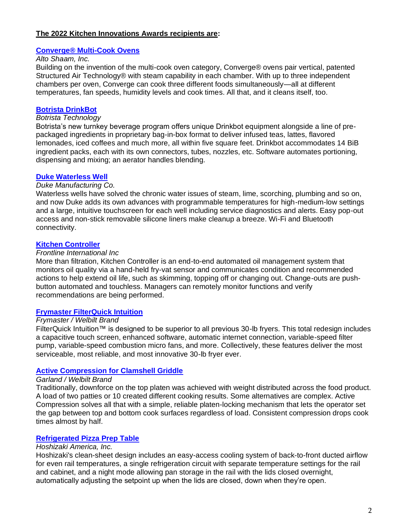# **The 2022 Kitchen Innovations Awards recipients are:**

#### **[Converge® Multi-Cook Ovens](https://directory.nationalrestaurantshow.com/8_0/exhibitor/exhibitor-details.cfm?exhid=1024)**

# *Alto Shaam, Inc.*

Building on the invention of the multi-cook oven category, Converge® ovens pair vertical, patented Structured Air Technology® with steam capability in each chamber. With up to three independent chambers per oven, Converge can cook three different foods simultaneously—all at different temperatures, fan speeds, humidity levels and cook times. All that, and it cleans itself, too.

### **[Botrista DrinkBot](https://directory.nationalrestaurantshow.com/8_0/exhibitor/exhibitor-details.cfm?exhid=62520631)**

# *Botrista Technology*

Botrista's new turnkey beverage program offers unique Drinkbot equipment alongside a line of prepackaged ingredients in proprietary bag-in-box format to deliver infused teas, lattes, flavored lemonades, iced coffees and much more, all within five square feet. Drinkbot accommodates 14 BiB ingredient packs, each with its own connectors, tubes, nozzles, etc. Software automates portioning, dispensing and mixing; an aerator handles blending.

#### **[Duke Waterless Well](https://directory.nationalrestaurantshow.com/8_0/exhibitor/exhibitor-details.cfm?exhid=3180)**

#### *Duke Manufacturing Co.*

Waterless wells have solved the chronic water issues of steam, lime, scorching, plumbing and so on, and now Duke adds its own advances with programmable temperatures for high-medium-low settings and a large, intuitive touchscreen for each well including service diagnostics and alerts. Easy pop-out access and non-stick removable silicone liners make cleanup a breeze. Wi-Fi and Bluetooth connectivity.

#### **[Kitchen Controller](https://directory.nationalrestaurantshow.com/8_0/exhibitor/exhibitor-details.cfm?exhid=824)**

### *Frontline International Inc*

More than filtration, Kitchen Controller is an end-to-end automated oil management system that monitors oil quality via a hand-held fry-vat sensor and communicates condition and recommended actions to help extend oil life, such as skimming, topping off or changing out. Change-outs are pushbutton automated and touchless. Managers can remotely monitor functions and verify recommendations are being performed.

#### **[Frymaster FilterQuick Intuition](https://directory.nationalrestaurantshow.com/8_0/exhibitor/exhibitor-details.cfm?exhid=826)**

#### *Frymaster / Welbilt Brand*

FilterQuick Intuition™ is designed to be superior to all previous 30-lb fryers. This total redesign includes a capacitive touch screen, enhanced software, automatic internet connection, variable-speed filter pump, variable-speed combustion micro fans, and more. Collectively, these features deliver the most serviceable, most reliable, and most innovative 30-lb fryer ever.

#### **[Active Compression for Clamshell Griddle](https://directory.nationalrestaurantshow.com/8_0/exhibitor/exhibitor-details.cfm?exhid=836)**

#### *Garland / Welbilt Brand*

Traditionally, downforce on the top platen was achieved with weight distributed across the food product. A load of two patties or 10 created different cooking results. Some alternatives are complex. Active Compression solves all that with a simple, reliable platen-locking mechanism that lets the operator set the gap between top and bottom cook surfaces regardless of load. Consistent compression drops cook times almost by half.

#### **[Refrigerated Pizza Prep Table](https://directory.nationalrestaurantshow.com/8_0/exhibitor/exhibitor-details.cfm?exhid=619)**

#### *Hoshizaki America, Inc.*

Hoshizaki's clean-sheet design includes an easy-access cooling system of back-to-front ducted airflow for even rail temperatures, a single refrigeration circuit with separate temperature settings for the rail and cabinet, and a night mode allowing pan storage in the rail with the lids closed overnight, automatically adjusting the setpoint up when the lids are closed, down when they're open.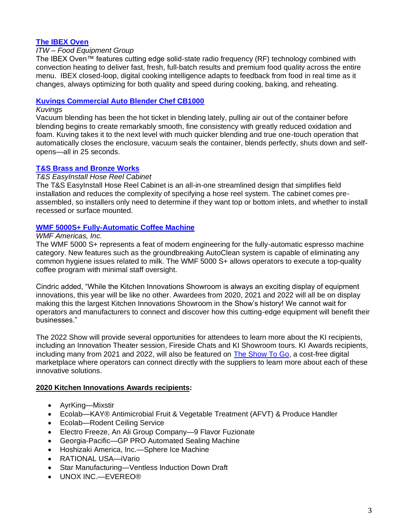# **[The IBEX Oven](https://directory.nationalrestaurantshow.com/8_0/exhibitor/exhibitor-details.cfm?exhid=1827)**

# *ITW – Food Equipment Group*

The IBEX Oven™ features cutting edge solid-state radio frequency (RF) technology combined with convection heating to deliver fast, fresh, full-batch results and premium food quality across the entire menu. IBEX closed-loop, digital cooking intelligence adapts to feedback from food in real time as it changes, always optimizing for both quality and speed during cooking, baking, and reheating.

# **[Kuvings Commercial Auto Blender Chef CB1000](https://directory.nationalrestaurantshow.com/8_0/exhibitor/exhibitor-details.cfm?exhid=107392)**

#### *Kuvings*

Vacuum blending has been the hot ticket in blending lately, pulling air out of the container before blending begins to create remarkably smooth, fine consistency with greatly reduced oxidation and foam. Kuving takes it to the next level with much quicker blending and true one-touch operation that automatically closes the enclosure, vacuum seals the container, blends perfectly, shuts down and selfopens—all in 25 seconds.

#### **[T&S Brass and Bronze Works](https://directory.nationalrestaurantshow.com/8_0/exhibitor/exhibitor-details.cfm?exhid=287)**

## *T&S EasyInstall Hose Reel Cabinet*

The T&S EasyInstall Hose Reel Cabinet is an all-in-one streamlined design that simplifies field installation and reduces the complexity of specifying a hose reel system. The cabinet comes preassembled, so installers only need to determine if they want top or bottom inlets, and whether to install recessed or surface mounted.

#### **[WMF 5000S+ Fully-Automatic Coffee Machine](https://directory.nationalrestaurantshow.com/8_0/exhibitor/exhibitor-details.cfm?exhid=197)**

#### *WMF Americas, Inc.*

The WMF 5000 S+ represents a feat of modern engineering for the fully-automatic espresso machine category. New features such as the groundbreaking AutoClean system is capable of eliminating any common hygiene issues related to milk. The WMF 5000 S+ allows operators to execute a top-quality coffee program with minimal staff oversight.

Cindric added, "While the Kitchen Innovations Showroom is always an exciting display of equipment innovations, this year will be like no other. Awardees from 2020, 2021 and 2022 will all be on display making this the largest Kitchen Innovations Showroom in the Show's history! We cannot wait for operators and manufacturers to connect and discover how this cutting-edge equipment will benefit their businesses."

The 2022 Show will provide several opportunities for attendees to learn more about the KI recipients, including an Innovation Theater session, Fireside Chats and KI Showroom tours. KI Awards recipients, including many from 2021 and 2022, will also be featured on [The Show To Go,](https://www.nationalrestaurantshow.com/mys/show-to-go) a cost-free digital marketplace where operators can connect directly with the suppliers to learn more about each of these innovative solutions.

#### **2020 Kitchen Innovations Awards recipients:**

- AyrKing—Mixstir
- Ecolab—KAY® Antimicrobial Fruit & Vegetable Treatment (AFVT) & Produce Handler
- Ecolab—Rodent Ceiling Service
- Electro Freeze, An Ali Group Company—9 Flavor Fuzionate
- Georgia-Pacific—GP PRO Automated Sealing Machine
- Hoshizaki America, Inc.—Sphere Ice Machine
- RATIONAL USA—iVario
- Star Manufacturing—Ventless Induction Down Draft
- UNOX INC.—EVEREO®